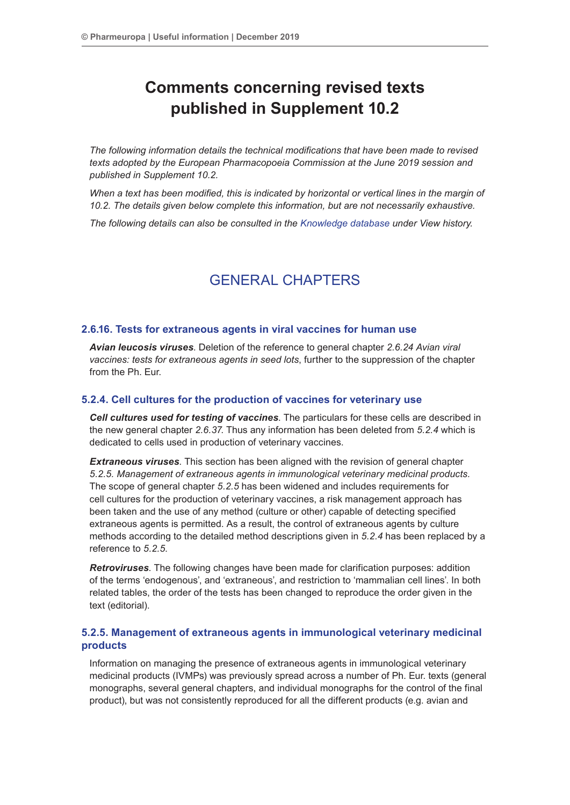# **Comments concerning revised texts published in Supplement 10.2**

*The following information details the technical modifications that have been made to revised texts adopted by the European Pharmacopoeia Commission at the June 2019 session and published in Supplement 10.2.*

*When a text has been modified, this is indicated by horizontal or vertical lines in the margin of 10.2. The details given below complete this information, but are not necessarily exhaustive.*

*The following details can also be consulted in the Knowledge database under View history.*

# GENERAL CHAPTERS

#### **2.6.16. Tests for extraneous agents in viral vaccines for human use**

*Avian leucosis viruses*. Deletion of the reference to general chapter *2.6.24 Avian viral vaccines: tests for extraneous agents in seed lots*, further to the suppression of the chapter from the Ph. Eur.

## **5.2.4. Cell cultures for the production of vaccines for veterinary use**

*Cell cultures used for testing of vaccines*. The particulars for these cells are described in the new general chapter *2.6.37*. Thus any information has been deleted from *5.2.4* which is dedicated to cells used in production of veterinary vaccines.

*Extraneous viruses*. This section has been aligned with the revision of general chapter *5.2.5. Management of extraneous agents in immunological veterinary medicinal products.* The scope of general chapter *5.2.5* has been widened and includes requirements for cell cultures for the production of veterinary vaccines, a risk management approach has been taken and the use of any method (culture or other) capable of detecting specified extraneous agents is permitted. As a result, the control of extraneous agents by culture methods according to the detailed method descriptions given in *5.2.4* has been replaced by a reference to *5.2.5*.

*Retroviruses*. The following changes have been made for clarification purposes: addition of the terms 'endogenous', and 'extraneous', and restriction to 'mammalian cell lines'. In both related tables, the order of the tests has been changed to reproduce the order given in the text (editorial).

# **5.2.5. Management of extraneous agents in immunological veterinary medicinal products**

Information on managing the presence of extraneous agents in immunological veterinary medicinal products (IVMPs) was previously spread across a number of Ph. Eur. texts (general monographs, several general chapters, and individual monographs for the control of the final product), but was not consistently reproduced for all the different products (e.g. avian and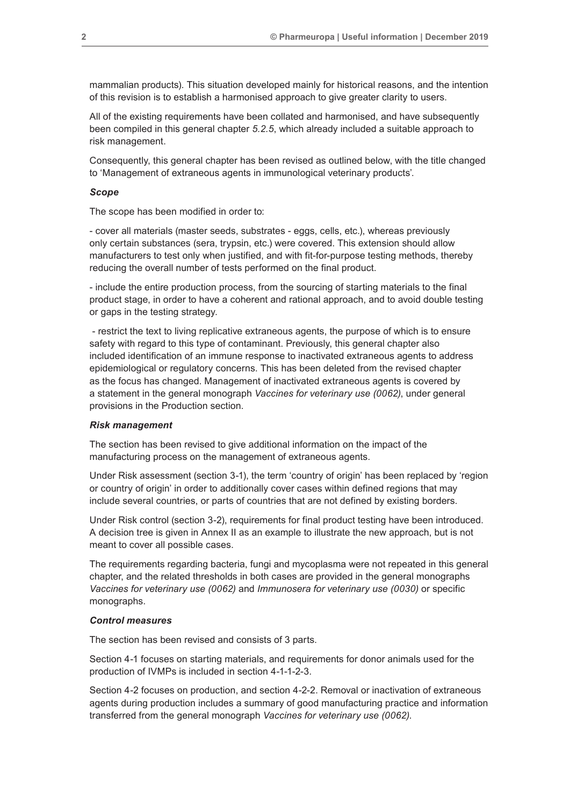mammalian products). This situation developed mainly for historical reasons, and the intention of this revision is to establish a harmonised approach to give greater clarity to users.

All of the existing requirements have been collated and harmonised, and have subsequently been compiled in this general chapter *5.2.5*, which already included a suitable approach to risk management.

Consequently, this general chapter has been revised as outlined below, with the title changed to 'Management of extraneous agents in immunological veterinary products'.

#### *Scope*

The scope has been modified in order to:

- cover all materials (master seeds, substrates - eggs, cells, etc.), whereas previously only certain substances (sera, trypsin, etc.) were covered. This extension should allow manufacturers to test only when justified, and with fit-for-purpose testing methods, thereby reducing the overall number of tests performed on the final product.

- include the entire production process, from the sourcing of starting materials to the final product stage, in order to have a coherent and rational approach, and to avoid double testing or gaps in the testing strategy.

 - restrict the text to living replicative extraneous agents, the purpose of which is to ensure safety with regard to this type of contaminant. Previously, this general chapter also included identification of an immune response to inactivated extraneous agents to address epidemiological or regulatory concerns. This has been deleted from the revised chapter as the focus has changed. Management of inactivated extraneous agents is covered by a statement in the general monograph *Vaccines for veterinary use (0062)*, under general provisions in the Production section.

#### *Risk management*

The section has been revised to give additional information on the impact of the manufacturing process on the management of extraneous agents.

Under Risk assessment (section 3-1), the term 'country of origin' has been replaced by 'region or country of origin' in order to additionally cover cases within defined regions that may include several countries, or parts of countries that are not defined by existing borders.

Under Risk control (section 3-2), requirements for final product testing have been introduced. A decision tree is given in Annex II as an example to illustrate the new approach, but is not meant to cover all possible cases.

The requirements regarding bacteria, fungi and mycoplasma were not repeated in this general chapter, and the related thresholds in both cases are provided in the general monographs *Vaccines for veterinary use (0062)* and *Immunosera for veterinary use (0030)* or specific monographs.

#### *Control measures*

The section has been revised and consists of 3 parts.

Section 4-1 focuses on starting materials, and requirements for donor animals used for the production of IVMPs is included in section 4-1-1-2-3.

Section 4-2 focuses on production, and section 4-2-2. Removal or inactivation of extraneous agents during production includes a summary of good manufacturing practice and information transferred from the general monograph *Vaccines for veterinary use (0062)*.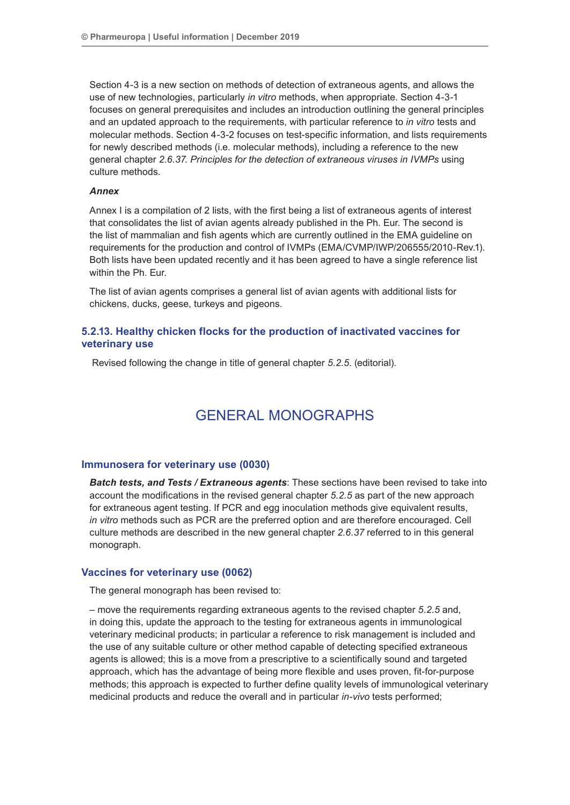Section 4-3 is a new section on methods of detection of extraneous agents, and allows the use of new technologies, particularly *in vitro* methods, when appropriate. Section 4-3-1 focuses on general prerequisites and includes an introduction outlining the general principles and an updated approach to the requirements, with particular reference to *in vitro* tests and molecular methods. Section 4-3-2 focuses on test-specific information, and lists requirements for newly described methods (i.e. molecular methods), including a reference to the new general chapter *2.6.37. Principles for the detection of extraneous viruses in IVMPs* using culture methods.

#### *Annex*

Annex I is a compilation of 2 lists, with the first being a list of extraneous agents of interest that consolidates the list of avian agents already published in the Ph. Eur. The second is the list of mammalian and fish agents which are currently outlined in the EMA guideline on requirements for the production and control of IVMPs (EMA/CVMP/IWP/206555/2010-Rev.1). Both lists have been updated recently and it has been agreed to have a single reference list within the Ph. Eur.

The list of avian agents comprises a general list of avian agents with additional lists for chickens, ducks, geese, turkeys and pigeons.

# **5.2.13. Healthy chicken flocks for the production of inactivated vaccines for veterinary use**

Revised following the change in title of general chapter *5.2.5*. (editorial).

# GENERAL MONOGRAPHS

## **Immunosera for veterinary use (0030)**

*Batch tests, and Tests / Extraneous agents*: These sections have been revised to take into account the modifications in the revised general chapter *5.2.5* as part of the new approach for extraneous agent testing. If PCR and egg inoculation methods give equivalent results, *in vitro* methods such as PCR are the preferred option and are therefore encouraged. Cell culture methods are described in the new general chapter *2.6.37* referred to in this general monograph.

### **Vaccines for veterinary use (0062)**

The general monograph has been revised to:

– move the requirements regarding extraneous agents to the revised chapter *5.2.5* and, in doing this, update the approach to the testing for extraneous agents in immunological veterinary medicinal products; in particular a reference to risk management is included and the use of any suitable culture or other method capable of detecting specified extraneous agents is allowed; this is a move from a prescriptive to a scientifically sound and targeted approach, which has the advantage of being more flexible and uses proven, fit-for-purpose methods; this approach is expected to further define quality levels of immunological veterinary medicinal products and reduce the overall and in particular *in-vivo* tests performed;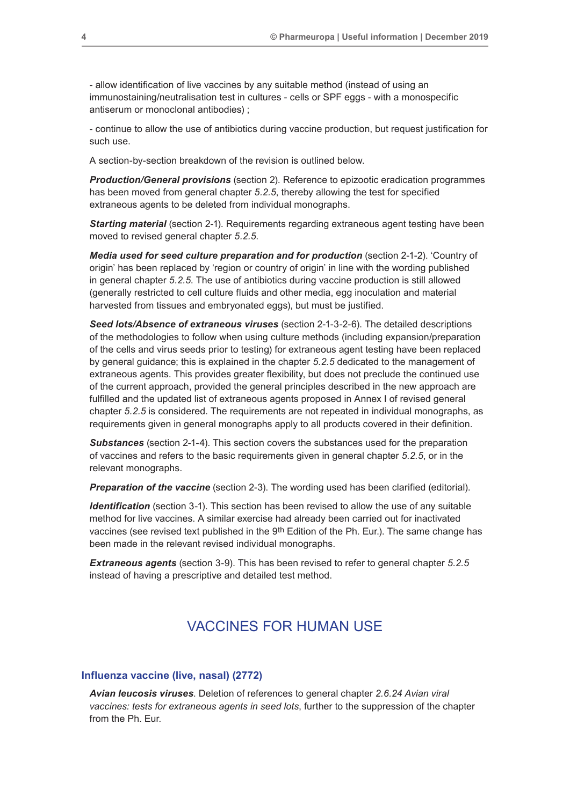- allow identification of live vaccines by any suitable method (instead of using an immunostaining/neutralisation test in cultures - cells or SPF eggs - with a monospecific antiserum or monoclonal antibodies) ;

- continue to allow the use of antibiotics during vaccine production, but request justification for such use.

A section-by-section breakdown of the revision is outlined below.

*Production/General provisions* (section 2). Reference to epizootic eradication programmes has been moved from general chapter *5.2.5*, thereby allowing the test for specified extraneous agents to be deleted from individual monographs.

*Starting material* (section 2-1). Requirements regarding extraneous agent testing have been moved to revised general chapter *5.2.5*.

*Media used for seed culture preparation and for production* (section 2-1-2). 'Country of origin' has been replaced by 'region or country of origin' in line with the wording published in general chapter *5.2.5*. The use of antibiotics during vaccine production is still allowed (generally restricted to cell culture fluids and other media, egg inoculation and material harvested from tissues and embryonated eggs), but must be justified.

*Seed lots/Absence of extraneous viruses* (section 2-1-3-2-6). The detailed descriptions of the methodologies to follow when using culture methods (including expansion/preparation of the cells and virus seeds prior to testing) for extraneous agent testing have been replaced by general guidance; this is explained in the chapter *5.2.5* dedicated to the management of extraneous agents. This provides greater flexibility, but does not preclude the continued use of the current approach, provided the general principles described in the new approach are fulfilled and the updated list of extraneous agents proposed in Annex I of revised general chapter *5.2.5* is considered. The requirements are not repeated in individual monographs, as requirements given in general monographs apply to all products covered in their definition.

*Substances* (section 2-1-4). This section covers the substances used for the preparation of vaccines and refers to the basic requirements given in general chapter *5.2.5*, or in the relevant monographs.

**Preparation of the vaccine** (section 2-3). The wording used has been clarified (editorial).

*Identification* (section 3-1). This section has been revised to allow the use of any suitable method for live vaccines. A similar exercise had already been carried out for inactivated vaccines (see revised text published in the 9th Edition of the Ph. Eur.). The same change has been made in the relevant revised individual monographs.

*Extraneous agents* (section 3-9). This has been revised to refer to general chapter *5.2.5* instead of having a prescriptive and detailed test method.

# VACCINES FOR HUMAN USE

#### **Influenza vaccine (live, nasal) (2772)**

*Avian leucosis viruses*. Deletion of references to general chapter *2.6.24 Avian viral vaccines: tests for extraneous agents in seed lots*, further to the suppression of the chapter from the Ph. Eur.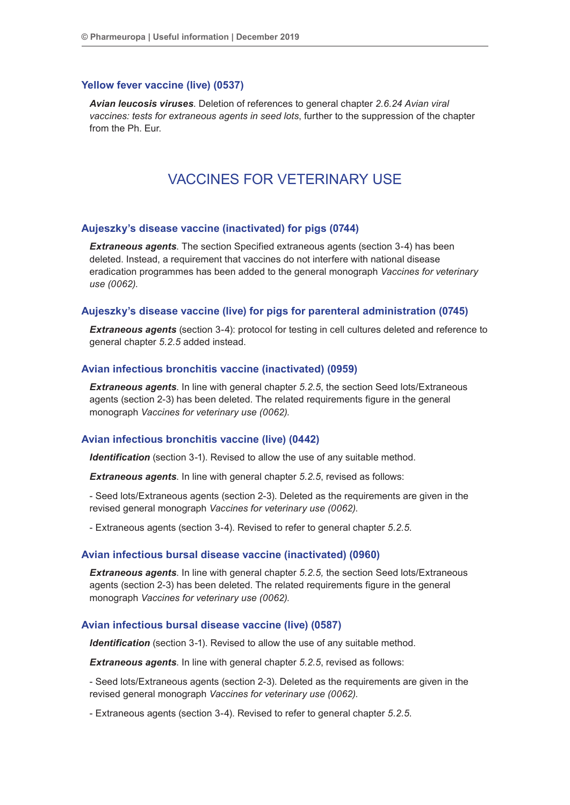#### **Yellow fever vaccine (live) (0537)**

*Avian leucosis viruses*. Deletion of references to general chapter *2.6.24 Avian viral vaccines: tests for extraneous agents in seed lots*, further to the suppression of the chapter from the Ph. Eur.

# VACCINES FOR VETERINARY USE

## **Aujeszky's disease vaccine (inactivated) for pigs (0744)**

*Extraneous agents*. The section Specified extraneous agents (section 3-4) has been deleted. Instead, a requirement that vaccines do not interfere with national disease eradication programmes has been added to the general monograph *Vaccines for veterinary use (0062)*.

#### **Aujeszky's disease vaccine (live) for pigs for parenteral administration (0745)**

**Extraneous agents** (section 3-4): protocol for testing in cell cultures deleted and reference to general chapter *5.2.5* added instead.

#### **Avian infectious bronchitis vaccine (inactivated) (0959)**

*Extraneous agents*. In line with general chapter *5.2.5*, the section Seed lots/Extraneous agents (section 2-3) has been deleted. The related requirements figure in the general monograph *Vaccines for veterinary use (0062).*

#### **Avian infectious bronchitis vaccine (live) (0442)**

**Identification** (section 3-1). Revised to allow the use of any suitable method.

*Extraneous agents*. In line with general chapter *5.2.5*, revised as follows:

- Seed lots/Extraneous agents (section 2-3). Deleted as the requirements are given in the revised general monograph *Vaccines for veterinary use (0062)*.

- Extraneous agents (section 3-4). Revised to refer to general chapter *5.2.5*.

#### **Avian infectious bursal disease vaccine (inactivated) (0960)**

*Extraneous agents*. In line with general chapter *5.2.5,* the section Seed lots/Extraneous agents (section 2-3) has been deleted. The related requirements figure in the general monograph *Vaccines for veterinary use (0062).*

### **Avian infectious bursal disease vaccine (live) (0587)**

*Identification* (section 3-1). Revised to allow the use of any suitable method.

*Extraneous agents*. In line with general chapter *5.2.5*, revised as follows:

- Seed lots/Extraneous agents (section 2-3). Deleted as the requirements are given in the revised general monograph *Vaccines for veterinary use (0062)*.

- Extraneous agents (section 3-4). Revised to refer to general chapter *5.2.5*.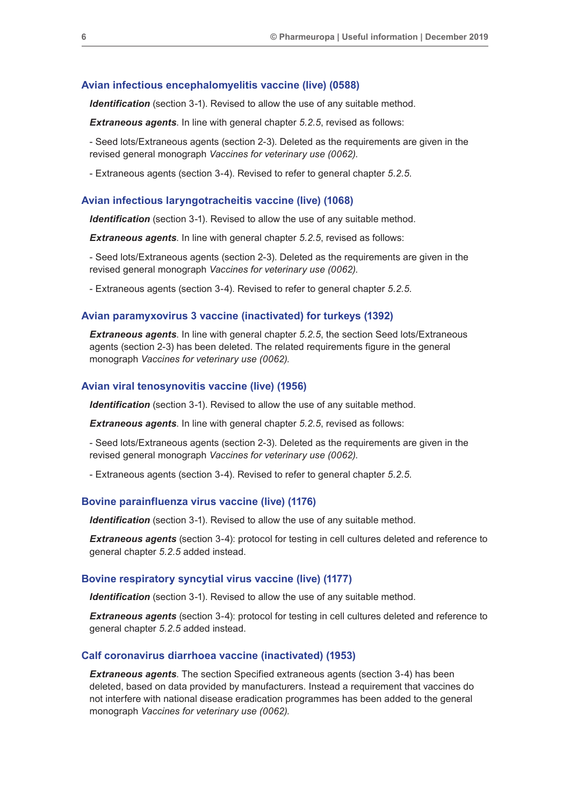#### **Avian infectious encephalomyelitis vaccine (live) (0588)**

*Identification* (section 3-1). Revised to allow the use of any suitable method.

*Extraneous agents*. In line with general chapter *5.2.5*, revised as follows:

- Seed lots/Extraneous agents (section 2-3). Deleted as the requirements are given in the revised general monograph *Vaccines for veterinary use (0062)*.

- Extraneous agents (section 3-4). Revised to refer to general chapter *5.2.5*.

#### **Avian infectious laryngotracheitis vaccine (live) (1068)**

*Identification* (section 3-1). Revised to allow the use of any suitable method.

**Extraneous agents.** In line with general chapter 5.2.5, revised as follows:

- Seed lots/Extraneous agents (section 2-3). Deleted as the requirements are given in the revised general monograph *Vaccines for veterinary use (0062)*.

- Extraneous agents (section 3-4). Revised to refer to general chapter *5.2.5*.

#### **Avian paramyxovirus 3 vaccine (inactivated) for turkeys (1392)**

*Extraneous agents*. In line with general chapter *5.2.5*, the section Seed lots/Extraneous agents (section 2-3) has been deleted. The related requirements figure in the general monograph *Vaccines for veterinary use (0062).*

#### **Avian viral tenosynovitis vaccine (live) (1956)**

**Identification** (section 3-1). Revised to allow the use of any suitable method.

*Extraneous agents*. In line with general chapter *5.2.5*, revised as follows:

- Seed lots/Extraneous agents (section 2-3). Deleted as the requirements are given in the revised general monograph *Vaccines for veterinary use (0062)*.

- Extraneous agents (section 3-4). Revised to refer to general chapter *5.2.5*.

#### **Bovine parainfluenza virus vaccine (live) (1176)**

**Identification** (section 3-1). Revised to allow the use of any suitable method.

*Extraneous agents* (section 3-4): protocol for testing in cell cultures deleted and reference to general chapter *5.2.5* added instead.

#### **Bovine respiratory syncytial virus vaccine (live) (1177)**

*Identification* (section 3-1). Revised to allow the use of any suitable method.

**Extraneous agents** (section 3-4): protocol for testing in cell cultures deleted and reference to general chapter *5.2.5* added instead.

#### **Calf coronavirus diarrhoea vaccine (inactivated) (1953)**

*Extraneous agents*. The section Specified extraneous agents (section 3-4) has been deleted, based on data provided by manufacturers. Instead a requirement that vaccines do not interfere with national disease eradication programmes has been added to the general monograph *Vaccines for veterinary use (0062).*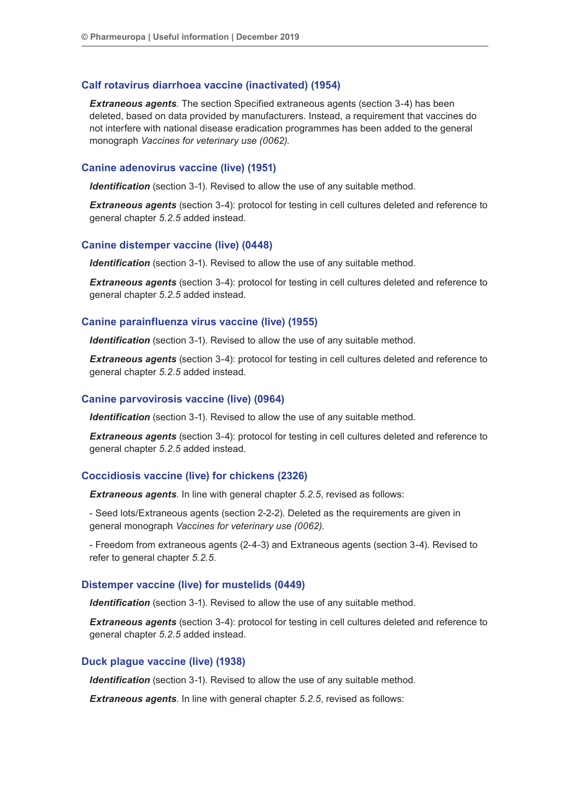#### **Calf rotavirus diarrhoea vaccine (inactivated) (1954)**

*Extraneous agents*. The section Specified extraneous agents (section 3-4) has been deleted, based on data provided by manufacturers. Instead, a requirement that vaccines do not interfere with national disease eradication programmes has been added to the general monograph *Vaccines for veterinary use (0062).*

#### **Canine adenovirus vaccine (live) (1951)**

*Identification* (section 3-1). Revised to allow the use of any suitable method.

*Extraneous agents* (section 3-4): protocol for testing in cell cultures deleted and reference to general chapter *5.2.5* added instead.

#### **Canine distemper vaccine (live) (0448)**

**Identification** (section 3-1). Revised to allow the use of any suitable method.

*Extraneous agents* (section 3-4): protocol for testing in cell cultures deleted and reference to general chapter *5.2.5* added instead.

#### **Canine parainfluenza virus vaccine (live) (1955)**

*Identification* (section 3-1). Revised to allow the use of any suitable method.

**Extraneous agents** (section 3-4): protocol for testing in cell cultures deleted and reference to general chapter *5.2.5* added instead.

#### **Canine parvovirosis vaccine (live) (0964)**

**Identification** (section 3-1). Revised to allow the use of any suitable method.

*Extraneous agents* (section 3-4): protocol for testing in cell cultures deleted and reference to general chapter *5.2.5* added instead.

## **Coccidiosis vaccine (live) for chickens (2326)**

*Extraneous agents*. In line with general chapter *5.2.5*, revised as follows:

- Seed lots/Extraneous agents (section 2-2-2). Deleted as the requirements are given in general monograph *Vaccines for veterinary use (0062)*.

- Freedom from extraneous agents (2-4-3) and Extraneous agents (section 3-4). Revised to refer to general chapter *5.2.5*.

#### **Distemper vaccine (live) for mustelids (0449)**

*Identification* (section 3-1). Revised to allow the use of any suitable method.

*Extraneous agents* (section 3-4): protocol for testing in cell cultures deleted and reference to general chapter *5.2.5* added instead.

#### **Duck plague vaccine (live) (1938)**

*Identification* (section 3-1). Revised to allow the use of any suitable method.

*Extraneous agents*. In line with general chapter *5.2.5*, revised as follows: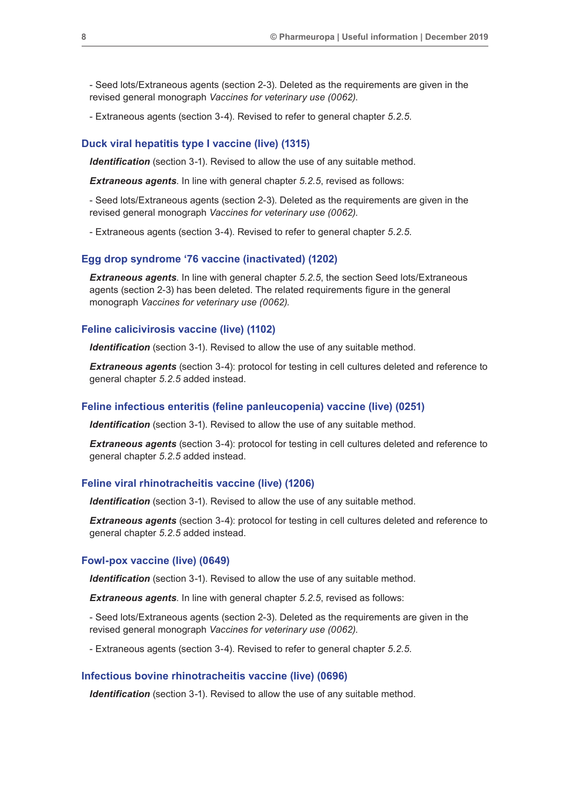- Seed lots/Extraneous agents (section 2-3). Deleted as the requirements are given in the revised general monograph *Vaccines for veterinary use (0062)*.

- Extraneous agents (section 3-4). Revised to refer to general chapter *5.2.5*.

#### **Duck viral hepatitis type I vaccine (live) (1315)**

*Identification* (section 3-1). Revised to allow the use of any suitable method.

*Extraneous agents*. In line with general chapter *5.2.5*, revised as follows:

- Seed lots/Extraneous agents (section 2-3). Deleted as the requirements are given in the revised general monograph *Vaccines for veterinary use (0062)*.

- Extraneous agents (section 3-4). Revised to refer to general chapter *5.2.5*.

#### **Egg drop syndrome '76 vaccine (inactivated) (1202)**

*Extraneous agents*. In line with general chapter *5.2.5*, the section Seed lots/Extraneous agents (section 2-3) has been deleted. The related requirements figure in the general monograph *Vaccines for veterinary use (0062).*

#### **Feline calicivirosis vaccine (live) (1102)**

*Identification* (section 3-1). Revised to allow the use of any suitable method.

**Extraneous agents** (section 3-4): protocol for testing in cell cultures deleted and reference to general chapter *5.2.5* added instead.

#### **Feline infectious enteritis (feline panleucopenia) vaccine (live) (0251)**

**Identification** (section 3-1). Revised to allow the use of any suitable method.

*Extraneous agents* (section 3-4): protocol for testing in cell cultures deleted and reference to general chapter *5.2.5* added instead.

#### **Feline viral rhinotracheitis vaccine (live) (1206)**

**Identification** (section 3-1). Revised to allow the use of any suitable method.

*Extraneous agents* (section 3-4): protocol for testing in cell cultures deleted and reference to general chapter *5.2.5* added instead.

#### **Fowl-pox vaccine (live) (0649)**

*Identification* (section 3-1). Revised to allow the use of any suitable method.

*Extraneous agents*. In line with general chapter *5.2.5*, revised as follows:

- Seed lots/Extraneous agents (section 2-3). Deleted as the requirements are given in the revised general monograph *Vaccines for veterinary use (0062)*.

- Extraneous agents (section 3-4). Revised to refer to general chapter *5.2.5*.

#### **Infectious bovine rhinotracheitis vaccine (live) (0696)**

*Identification* (section 3-1). Revised to allow the use of any suitable method.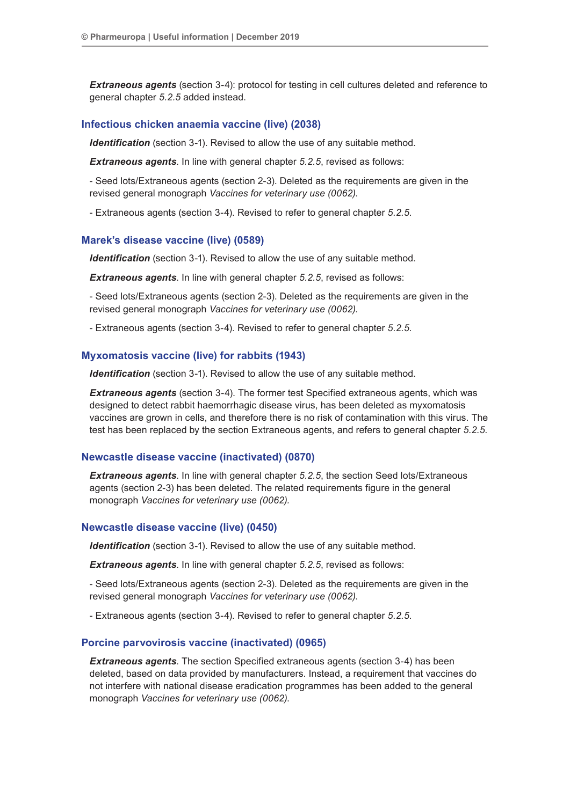**Extraneous agents** (section 3-4): protocol for testing in cell cultures deleted and reference to general chapter *5.2.5* added instead.

# **Infectious chicken anaemia vaccine (live) (2038)**

**Identification** (section 3-1). Revised to allow the use of any suitable method.

*Extraneous agents*. In line with general chapter *5.2.5*, revised as follows:

- Seed lots/Extraneous agents (section 2-3). Deleted as the requirements are given in the revised general monograph *Vaccines for veterinary use (0062)*.

- Extraneous agents (section 3-4). Revised to refer to general chapter *5.2.5*.

#### **Marek's disease vaccine (live) (0589)**

**Identification** (section 3-1). Revised to allow the use of any suitable method.

*Extraneous agents*. In line with general chapter *5.2.5*, revised as follows:

- Seed lots/Extraneous agents (section 2-3). Deleted as the requirements are given in the revised general monograph *Vaccines for veterinary use (0062)*.

- Extraneous agents (section 3-4). Revised to refer to general chapter *5.2.5*.

# **Myxomatosis vaccine (live) for rabbits (1943)**

**Identification** (section 3-1). Revised to allow the use of any suitable method.

*Extraneous agents* (section 3-4). The former test Specified extraneous agents, which was designed to detect rabbit haemorrhagic disease virus, has been deleted as myxomatosis vaccines are grown in cells, and therefore there is no risk of contamination with this virus. The test has been replaced by the section Extraneous agents, and refers to general chapter *5.2.5*.

# **Newcastle disease vaccine (inactivated) (0870)**

*Extraneous agents*. In line with general chapter *5.2.5*, the section Seed lots/Extraneous agents (section 2-3) has been deleted. The related requirements figure in the general monograph *Vaccines for veterinary use (0062).*

#### **Newcastle disease vaccine (live) (0450)**

*Identification* (section 3-1). Revised to allow the use of any suitable method.

*Extraneous agents*. In line with general chapter *5.2.5*, revised as follows:

- Seed lots/Extraneous agents (section 2-3). Deleted as the requirements are given in the revised general monograph *Vaccines for veterinary use (0062)*.

- Extraneous agents (section 3-4). Revised to refer to general chapter *5.2.5*.

#### **Porcine parvovirosis vaccine (inactivated) (0965)**

*Extraneous agents*. The section Specified extraneous agents (section 3-4) has been deleted, based on data provided by manufacturers. Instead, a requirement that vaccines do not interfere with national disease eradication programmes has been added to the general monograph *Vaccines for veterinary use (0062)*.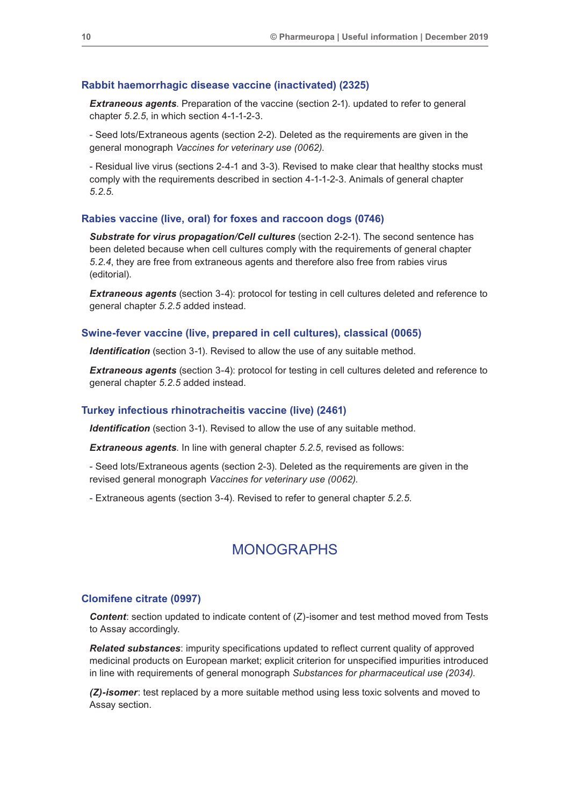# **Rabbit haemorrhagic disease vaccine (inactivated) (2325)**

*Extraneous agents*. Preparation of the vaccine (section 2-1). updated to refer to general chapter *5.2.5*, in which section 4-1-1-2-3.

- Seed lots/Extraneous agents (section 2-2). Deleted as the requirements are given in the general monograph *Vaccines for veterinary use (0062)*.

- Residual live virus (sections 2-4-1 and 3-3). Revised to make clear that healthy stocks must comply with the requirements described in section 4-1-1-2-3. Animals of general chapter *5.2.5*.

#### **Rabies vaccine (live, oral) for foxes and raccoon dogs (0746)**

*Substrate for virus propagation/Cell cultures* (section 2-2-1). The second sentence has been deleted because when cell cultures comply with the requirements of general chapter *5.2.4*, they are free from extraneous agents and therefore also free from rabies virus (editorial).

**Extraneous agents** (section 3-4): protocol for testing in cell cultures deleted and reference to general chapter *5.2.5* added instead.

#### **Swine-fever vaccine (live, prepared in cell cultures), classical (0065)**

**Identification** (section 3-1). Revised to allow the use of any suitable method.

*Extraneous agents* (section 3-4): protocol for testing in cell cultures deleted and reference to general chapter *5.2.5* added instead.

#### **Turkey infectious rhinotracheitis vaccine (live) (2461)**

*Identification* (section 3-1). Revised to allow the use of any suitable method.

*Extraneous agents*. In line with general chapter *5.2.5*, revised as follows:

- Seed lots/Extraneous agents (section 2-3). Deleted as the requirements are given in the revised general monograph *Vaccines for veterinary use (0062)*.

- Extraneous agents (section 3-4). Revised to refer to general chapter *5.2.5*.

# MONOGRAPHS

#### **Clomifene citrate (0997)**

*Content*: section updated to indicate content of (*Z*)-isomer and test method moved from Tests to Assay accordingly.

*Related substances*: impurity specifications updated to reflect current quality of approved medicinal products on European market; explicit criterion for unspecified impurities introduced in line with requirements of general monograph *Substances for pharmaceutical use (2034)*.

*(Z)-isomer*: test replaced by a more suitable method using less toxic solvents and moved to Assay section.